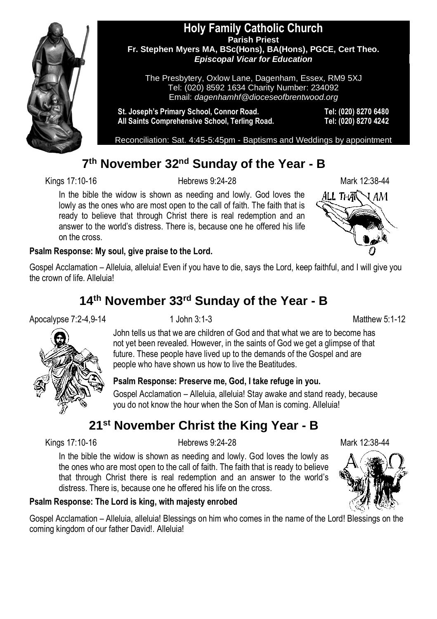

#### **Holy Family Catholic Church Parish Priest Fr. Stephen Myers MA, BSc(Hons), BA(Hons), PGCE, Cert Theo.** *Episcopal Vicar for Education*

The Presbytery, Oxlow Lane, Dagenham, Essex, RM9 5XJ Tel: (020) 8592 1634 Charity Number: 234092 Email: *dagenhamhf@dioceseofbrentwood.org*

**St. Joseph's Primary School, Connor Road. Tel: (020) 8270 6480 All Saints Comprehensive School, Terling Road. Tel: (020) 8270 4242**

Reconciliation: Sat. 4:45-5:45pm - Baptisms and Weddings by appointment

## **7 th November 32nd Sunday of the Year - B**

Kings 17:10-16 Hebrews 9:24-28 Mark 12:38-44

In the bible the widow is shown as needing and lowly. God loves the lowly as the ones who are most open to the call of faith. The faith that is ready to believe that through Christ there is real redemption and an answer to the world's distress. There is, because one he offered his life on the cross.



#### **Psalm Response: My soul, give praise to the Lord.**

Gospel Acclamation – Alleluia, alleluia! Even if you have to die, says the Lord, keep faithful, and I will give you the crown of life. Alleluia!

# **14th November 33rd Sunday of the Year - B**

#### Apocalypse 7:2-4,9-14 1 John 3:1-3 Matthew 5:1-12



John tells us that we are children of God and that what we are to become has not yet been revealed. However, in the saints of God we get a glimpse of that future. These people have lived up to the demands of the Gospel and are people who have shown us how to live the Beatitudes.

#### **Psalm Response: Preserve me, God, I take refuge in you.**

Gospel Acclamation – Alleluia, alleluia! Stay awake and stand ready, because you do not know the hour when the Son of Man is coming. Alleluia!

# **21st November Christ the King Year - B**

Kings 17:10-16 **Mark 12:38-44** Hebrews 9:24-28 **Mark 12:38-44** 

In the bible the widow is shown as needing and lowly. God loves the lowly as the ones who are most open to the call of faith. The faith that is ready to believe that through Christ there is real redemption and an answer to the world's distress. There is, because one he offered his life on the cross.

#### **Psalm Response: The Lord is king, with majesty enrobed**

Gospel Acclamation – Alleluia, alleluia! Blessings on him who comes in the name of the Lord! Blessings on the coming kingdom of our father David!. Alleluia!

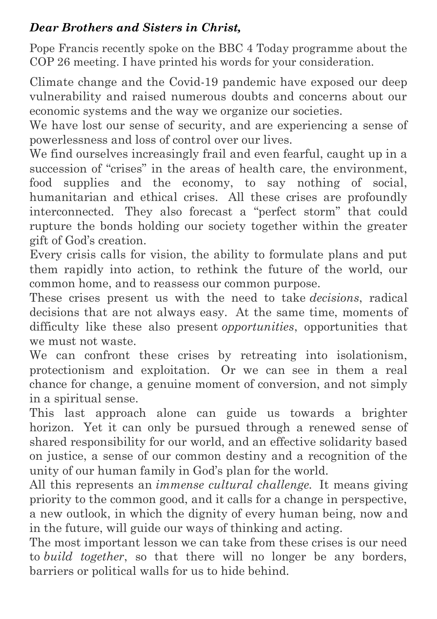## *Dear Brothers and Sisters in Christ,*

Pope Francis recently spoke on the BBC 4 Today programme about the COP 26 meeting. I have printed his words for your consideration.

Climate change and the Covid-19 pandemic have exposed our deep vulnerability and raised numerous doubts and concerns about our economic systems and the way we organize our societies.

We have lost our sense of security, and are experiencing a sense of powerlessness and loss of control over our lives.

We find ourselves increasingly frail and even fearful, caught up in a succession of "crises" in the areas of health care, the environment, food supplies and the economy, to say nothing of social, humanitarian and ethical crises. All these crises are profoundly interconnected. They also forecast a "perfect storm" that could rupture the bonds holding our society together within the greater gift of God's creation.

Every crisis calls for vision, the ability to formulate plans and put them rapidly into action, to rethink the future of the world, our common home, and to reassess our common purpose.

These crises present us with the need to take *decisions*, radical decisions that are not always easy. At the same time, moments of difficulty like these also present *opportunities*, opportunities that we must not waste.

We can confront these crises by retreating into isolationism, protectionism and exploitation. Or we can see in them a real chance for change, a genuine moment of conversion, and not simply in a spiritual sense.

This last approach alone can guide us towards a brighter horizon. Yet it can only be pursued through a renewed sense of shared responsibility for our world, and an effective solidarity based on justice, a sense of our common destiny and a recognition of the unity of our human family in God's plan for the world.

All this represents an *immense cultural challenge.* It means giving priority to the common good, and it calls for a change in perspective, a new outlook, in which the dignity of every human being, now and in the future, will guide our ways of thinking and acting.

The most important lesson we can take from these crises is our need to *build together*, so that there will no longer be any borders, barriers or political walls for us to hide behind.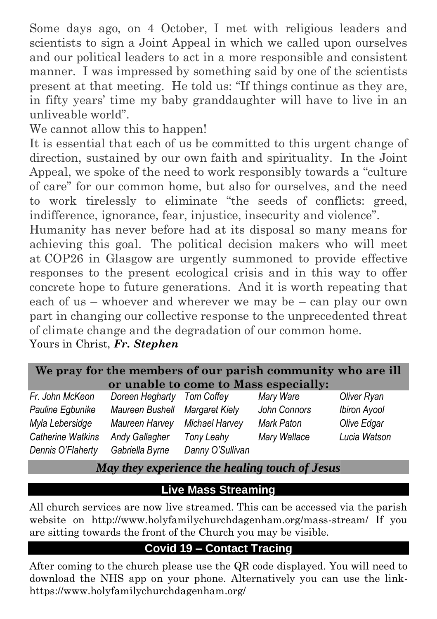Some days ago, on 4 October, I met with religious leaders and scientists to sign a Joint Appeal in which we called upon ourselves and our political leaders to act in a more responsible and consistent manner. I was impressed by something said by one of the scientists present at that meeting. He told us: "If things continue as they are, in fifty years' time my baby granddaughter will have to live in an unliveable world".

We cannot allow this to happen!

It is essential that each of us be committed to this urgent change of direction, sustained by our own faith and spirituality. In the Joint Appeal, we spoke of the need to work responsibly towards a "culture of care" for our common home, but also for ourselves, and the need to work tirelessly to eliminate "the seeds of conflicts: greed, indifference, ignorance, fear, injustice, insecurity and violence".

Humanity has never before had at its disposal so many means for achieving this goal. The political decision makers who will meet at COP26 in Glasgow are urgently summoned to provide effective responses to the present ecological crisis and in this way to offer concrete hope to future generations. And it is worth repeating that each of us – whoever and wherever we may be – can play our own part in changing our collective response to the unprecedented threat of climate change and the degradation of our common home.

Yours in Christ, *Fr. Stephen*

| We pray for the members of our parish community who are ill |  |
|-------------------------------------------------------------|--|
| or unable to come to Mass especially:                       |  |

| Fr. John McKeon   | Doreen Hegharty       | Tom Coffey            | Mary Ware    | Oliver Ryan         |
|-------------------|-----------------------|-----------------------|--------------|---------------------|
| Pauline Egbunike  | Maureen Bushell       | <b>Margaret Kiely</b> | John Connors | <b>Ibiron Ayool</b> |
| Myla Lebersidge   | Maureen Harvey        | Michael Harvey        | Mark Paton   | Olive Edgar         |
| Catherine Watkins | <b>Andy Gallagher</b> | Tony Leahy            | Mary Wallace | Lucia Watson        |
| Dennis O'Flaherty | Gabriella Byrne       | Danny O'Sullivan      |              |                     |

*May they experience the healing touch of Jesus*

# **Live Mass Streaming**

All church services are now live streamed. This can be accessed via the parish website on http://www.holyfamilychurchdagenham.org/mass-stream/ If you are sitting towards the front of the Church you may be visible.

# **Covid 19 – Contact Tracing**

After coming to the church please use the QR code displayed. You will need to download the NHS app on your phone. Alternatively you can use the link<https://www.holyfamilychurchdagenham.org/>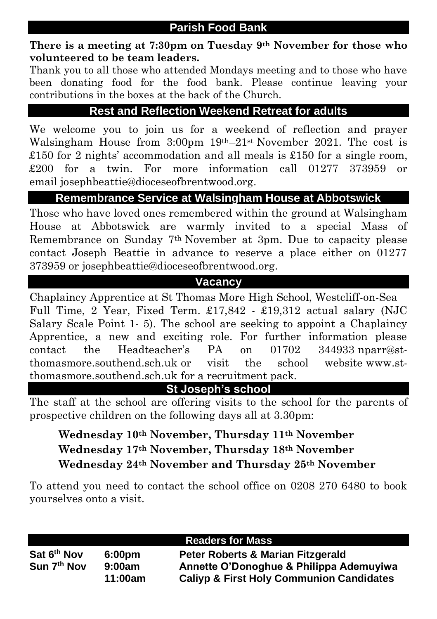**There is a meeting at 7:30pm on Tuesday 9th November for those who volunteered to be team leaders.** 

Thank you to all those who attended Mondays meeting and to those who have been donating food for the food bank. Please continue leaving your contributions in the boxes at the back of the Church.

## **Rest and Reflection Weekend Retreat for adults**

We welcome you to join us for a weekend of reflection and prayer Walsingham House from 3:00pm 19th–21st November 2021. The cost is £150 for 2 nights' accommodation and all meals is £150 for a single room, £200 for a twin. For more information call 01277 373959 or email josephbeattie@dioceseofbrentwood.org.

## **Remembrance Service at Walsingham House at Abbotswick**

Those who have loved ones remembered within the ground at Walsingham House at Abbotswick are warmly invited to a special Mass of Remembrance on Sunday 7th November at 3pm. Due to capacity please contact Joseph Beattie in advance to reserve a place either on 01277 373959 or josephbeattie@dioceseofbrentwood.org.

## **Vacancy**

Chaplaincy Apprentice at St Thomas More High School, Westcliff-on-Sea Full Time, 2 Year, Fixed Term. £17,842 - £19,312 actual salary (NJC Salary Scale Point 1- 5). The school are seeking to appoint a Chaplaincy Apprentice, a new and exciting role. For further information please contact the Headteacher's PA on 01702 344933 nparr@stthomasmore.southend.sch.uk or visit the school website www.stthomasmore.southend.sch.uk for a recruitment pack.

**St Joseph's school**

The staff at the school are offering visits to the school for the parents of prospective children on the following days all at 3.30pm:

## **Wednesday 10th November, Thursday 11th November Wednesday 17th November, Thursday 18th November Wednesday 24th November and Thursday 25th November**

To attend you need to contact the school office on 0208 270 6480 to book yourselves onto a visit.

|                         |                    | <b>Readers for Mass</b>                             |
|-------------------------|--------------------|-----------------------------------------------------|
| Sat 6 <sup>th</sup> Nov | 6:00 <sub>pm</sub> | Peter Roberts & Marian Fitzgerald                   |
| Sun 7 <sup>th</sup> Nov | 9:00am             | Annette O'Donoghue & Philippa Ademuyiwa             |
|                         | 11:00am            | <b>Caliyp &amp; First Holy Communion Candidates</b> |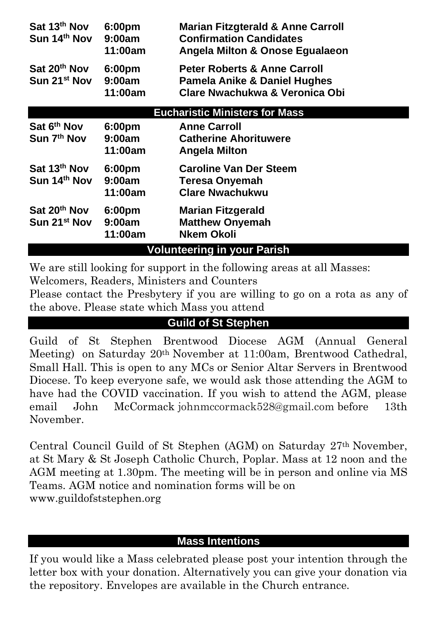| Sat 20th Nov<br><b>Peter Roberts &amp; Anne Carroll</b><br>6:00 <sub>pm</sub><br>Sun 21 <sup>st</sup> Nov<br>9:00am<br><b>Pamela Anike &amp; Daniel Hughes</b><br>Clare Nwachukwa & Veronica Obi<br>11:00am<br><b>Eucharistic Ministers for Mass</b><br>Sat 6 <sup>th</sup> Nov<br><b>Anne Carroll</b><br>6:00 <sub>pm</sub><br>Sun 7 <sup>th</sup> Nov<br><b>Catherine Ahorituwere</b><br>9:00am<br>11:00am<br><b>Angela Milton</b><br>Sat 13 <sup>th</sup> Nov<br><b>Caroline Van Der Steem</b><br>6:00pm<br>Sun 14 <sup>th</sup> Nov<br>9:00am<br><b>Teresa Onyemah</b><br><b>Clare Nwachukwu</b><br>11:00am | Sat 13th Nov<br>Sun 14 <sup>th</sup> Nov | 6:00 <sub>pm</sub><br>9:00am<br>11:00am | <b>Marian Fitzgterald &amp; Anne Carroll</b><br><b>Confirmation Candidates</b><br>Angela Milton & Onose Egualaeon |
|-----------------------------------------------------------------------------------------------------------------------------------------------------------------------------------------------------------------------------------------------------------------------------------------------------------------------------------------------------------------------------------------------------------------------------------------------------------------------------------------------------------------------------------------------------------------------------------------------------------------|------------------------------------------|-----------------------------------------|-------------------------------------------------------------------------------------------------------------------|
|                                                                                                                                                                                                                                                                                                                                                                                                                                                                                                                                                                                                                 |                                          |                                         |                                                                                                                   |
|                                                                                                                                                                                                                                                                                                                                                                                                                                                                                                                                                                                                                 |                                          |                                         |                                                                                                                   |
|                                                                                                                                                                                                                                                                                                                                                                                                                                                                                                                                                                                                                 |                                          |                                         |                                                                                                                   |
|                                                                                                                                                                                                                                                                                                                                                                                                                                                                                                                                                                                                                 |                                          |                                         |                                                                                                                   |
| 6:00 <sub>pm</sub><br>Sun 21 <sup>st</sup> Nov<br><b>Matthew Onyemah</b><br>9:00am<br><b>Nkem Okoli</b><br>11:00am                                                                                                                                                                                                                                                                                                                                                                                                                                                                                              | Sat 20 <sup>th</sup> Nov                 |                                         | <b>Marian Fitzgerald</b>                                                                                          |
| <b>Volunteering in your Parish</b>                                                                                                                                                                                                                                                                                                                                                                                                                                                                                                                                                                              |                                          |                                         |                                                                                                                   |

We are still looking for support in the following areas at all Masses:

Welcomers, Readers, Ministers and Counters

Please contact the Presbytery if you are willing to go on a rota as any of the above. Please state which Mass you attend

## **Guild of St Stephen**

Guild of St Stephen Brentwood Diocese AGM (Annual General Meeting) on Saturday 20th November at 11:00am, Brentwood Cathedral, Small Hall. This is open to any MCs or Senior Altar Servers in Brentwood Diocese. To keep everyone safe, we would ask those attending the AGM to have had the COVID vaccination. If you wish to attend the AGM, please email John McCormack [johnmccormack528@gmail.com](mailto:johnmccormack528@gmail.com) before 13th November.

Central Council Guild of St Stephen (AGM) on Saturday 27th November, at St Mary & St Joseph Catholic Church, Poplar. Mass at 12 noon and the AGM meeting at 1.30pm. The meeting will be in person and online via MS Teams. AGM notice and nomination forms will be on www.guildofststephen.org

### **Mass Intentions**

If you would like a Mass celebrated please post your intention through the letter box with your donation. Alternatively you can give your donation via the repository. Envelopes are available in the Church entrance.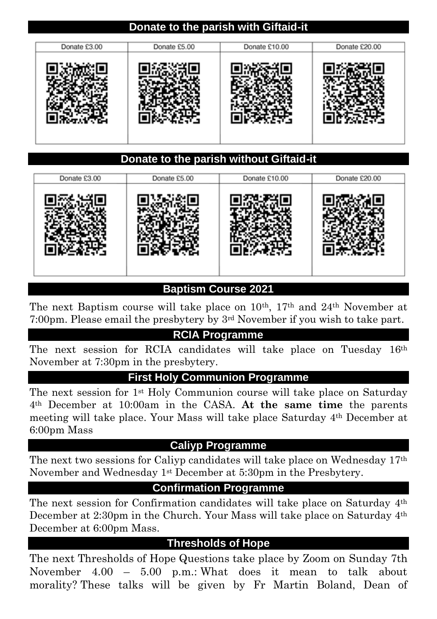### **Donate to the parish with Giftaid-it**

| Donate £3.00 | Donate £5.00 | Donate £10.00 | Donate £20.00 |
|--------------|--------------|---------------|---------------|
|              |              |               |               |

### **Donate to the parish without Giftaid-it**

| Donate £3.00 | Donate £5.00 | Donate £10.00 | Donate £20.00 |
|--------------|--------------|---------------|---------------|
|              |              |               |               |

## **Baptism Course 2021**

The next Baptism course will take place on  $10^{th}$ ,  $17^{th}$  and  $24^{th}$  November at 7:00pm. Please email the presbytery by 3rd November if you wish to take part.

### **RCIA Programme**

The next session for RCIA candidates will take place on Tuesday 16th November at 7:30pm in the presbytery.

#### **First Holy Communion Programme**

The next session for 1st Holy Communion course will take place on Saturday 4th December at 10:00am in the CASA. **At the same time** the parents meeting will take place. Your Mass will take place Saturday 4th December at 6:00pm Mass

#### **Caliyp Programme**

The next two sessions for Caliyp candidates will take place on Wednesday 17th November and Wednesday 1st December at 5:30pm in the Presbytery.

### **Confirmation Programme**

The next session for Confirmation candidates will take place on Saturday 4th December at 2:30pm in the Church. Your Mass will take place on Saturday 4th December at 6:00pm Mass.

## **Thresholds of Hope**

The next Thresholds of Hope Questions take place by Zoom on Sunday 7th November 4.00 – 5.00 p.m.: What does it mean to talk about morality? These talks will be given by Fr Martin Boland, Dean of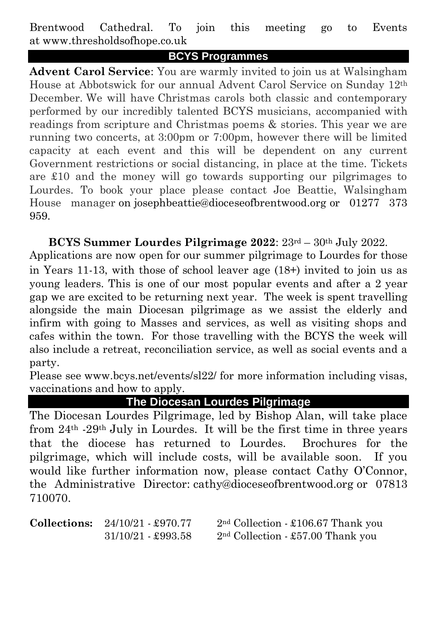Brentwood Cathedral. To join this meeting go to Events at www.thresholdsofhope.co.uk

### **BCYS Programmes**

**Advent Carol Service**: You are warmly invited to join us at Walsingham House at Abbotswick for our annual Advent Carol Service on Sunday 12th December. We will have Christmas carols both classic and contemporary performed by our incredibly talented BCYS musicians, accompanied with readings from scripture and Christmas poems & stories. This year we are running two concerts, at  $3:00 \text{pm}$  or  $7:00 \text{pm}$ , however there will be limited capacity at each event and this will be dependent on any current Government restrictions or social distancing, in place at the time. Tickets are £10 and the money will go towards supporting our pilgrimages to Lourdes. To book your place please contact Joe Beattie, Walsingham House manager on josephbeattie@dioceseofbrentwood.org or 01277 373 959.

**BCYS Summer Lourdes Pilgrimage 2022**: 23rd – 30th July 2022. Applications are now open for our summer pilgrimage to Lourdes for those in Years 11-13, with those of school leaver age (18+) invited to join us as young leaders. This is one of our most popular events and after a 2 year gap we are excited to be returning next year. The week is spent travelling alongside the main Diocesan pilgrimage as we assist the elderly and infirm with going to Masses and services, as well as visiting shops and cafes within the town. For those travelling with the BCYS the week will also include a retreat, reconciliation service, as well as social events and a party.

Please see www.bcys.net/events/sl22/ for more information including visas, vaccinations and how to apply.

**The Diocesan Lourdes Pilgrimage**

The Diocesan Lourdes Pilgrimage, led by Bishop Alan, will take place from 24th -29th July in Lourdes. It will be the first time in three years that the diocese has returned to Lourdes. Brochures for the pilgrimage, which will include costs, will be available soon. If you would like further information now, please contact Cathy O'Connor, the Administrative Director: cathy@dioceseofbrentwood.org or 07813 710070.

**Collections:**  $24/10/21 - £970.77$   $2<sup>nd</sup> Collection - £106.67$  Thank you 31/10/21 - £993.58 2nd Collection - £57.00 Thank you